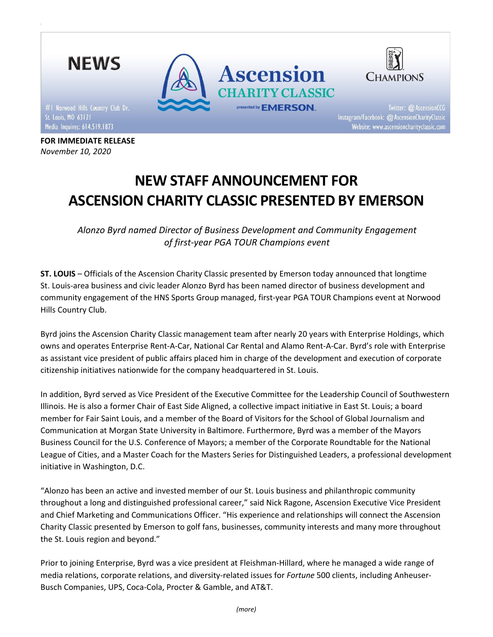

FOR IMMEDIATE RELEASE November 10, 2020

# NEW STAFF ANNOUNCEMENT FOR ASCENSION CHARITY CLASSIC PRESENTED BY EMERSON

Alonzo Byrd named Director of Business Development and Community Engagement of first-year PGA TOUR Champions event

ST. LOUIS – Officials of the Ascension Charity Classic presented by Emerson today announced that longtime St. Louis-area business and civic leader Alonzo Byrd has been named director of business development and community engagement of the HNS Sports Group managed, first-year PGA TOUR Champions event at Norwood Hills Country Club.

Byrd joins the Ascension Charity Classic management team after nearly 20 years with Enterprise Holdings, which owns and operates Enterprise Rent-A-Car, National Car Rental and Alamo Rent-A-Car. Byrd's role with Enterprise as assistant vice president of public affairs placed him in charge of the development and execution of corporate citizenship initiatives nationwide for the company headquartered in St. Louis.

In addition, Byrd served as Vice President of the Executive Committee for the Leadership Council of Southwestern Illinois. He is also a former Chair of East Side Aligned, a collective impact initiative in East St. Louis; a board member for Fair Saint Louis, and a member of the Board of Visitors for the School of Global Journalism and Communication at Morgan State University in Baltimore. Furthermore, Byrd was a member of the Mayors Business Council for the U.S. Conference of Mayors; a member of the Corporate Roundtable for the National League of Cities, and a Master Coach for the Masters Series for Distinguished Leaders, a professional development initiative in Washington, D.C.

"Alonzo has been an active and invested member of our St. Louis business and philanthropic community throughout a long and distinguished professional career," said Nick Ragone, Ascension Executive Vice President and Chief Marketing and Communications Officer. "His experience and relationships will connect the Ascension Charity Classic presented by Emerson to golf fans, businesses, community interests and many more throughout the St. Louis region and beyond."

Prior to joining Enterprise, Byrd was a vice president at Fleishman-Hillard, where he managed a wide range of media relations, corporate relations, and diversity-related issues for Fortune 500 clients, including Anheuser-Busch Companies, UPS, Coca-Cola, Procter & Gamble, and AT&T.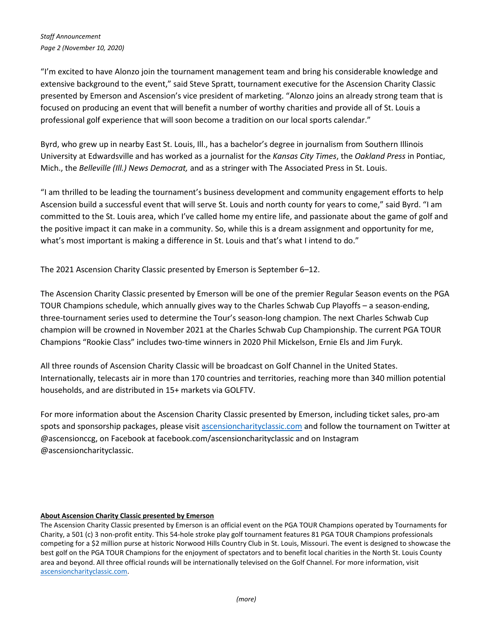"I'm excited to have Alonzo join the tournament management team and bring his considerable knowledge and extensive background to the event," said Steve Spratt, tournament executive for the Ascension Charity Classic presented by Emerson and Ascension's vice president of marketing. "Alonzo joins an already strong team that is focused on producing an event that will benefit a number of worthy charities and provide all of St. Louis a professional golf experience that will soon become a tradition on our local sports calendar."

Byrd, who grew up in nearby East St. Louis, Ill., has a bachelor's degree in journalism from Southern Illinois University at Edwardsville and has worked as a journalist for the Kansas City Times, the Oakland Press in Pontiac, Mich., the Belleville (III.) News Democrat, and as a stringer with The Associated Press in St. Louis.

"I am thrilled to be leading the tournament's business development and community engagement efforts to help Ascension build a successful event that will serve St. Louis and north county for years to come," said Byrd. "I am committed to the St. Louis area, which I've called home my entire life, and passionate about the game of golf and the positive impact it can make in a community. So, while this is a dream assignment and opportunity for me, what's most important is making a difference in St. Louis and that's what I intend to do."

The 2021 Ascension Charity Classic presented by Emerson is September 6–12.

The Ascension Charity Classic presented by Emerson will be one of the premier Regular Season events on the PGA TOUR Champions schedule, which annually gives way to the Charles Schwab Cup Playoffs – a season-ending, three-tournament series used to determine the Tour's season-long champion. The next Charles Schwab Cup champion will be crowned in November 2021 at the Charles Schwab Cup Championship. The current PGA TOUR Champions "Rookie Class" includes two-time winners in 2020 Phil Mickelson, Ernie Els and Jim Furyk.

All three rounds of Ascension Charity Classic will be broadcast on Golf Channel in the United States. Internationally, telecasts air in more than 170 countries and territories, reaching more than 340 million potential households, and are distributed in 15+ markets via GOLFTV.

For more information about the Ascension Charity Classic presented by Emerson, including ticket sales, pro-am spots and sponsorship packages, please visit ascensioncharityclassic.com and follow the tournament on Twitter at @ascensionccg, on Facebook at facebook.com/ascensioncharityclassic and on Instagram @ascensioncharityclassic.

# About Ascension Charity Classic presented by Emerson

The Ascension Charity Classic presented by Emerson is an official event on the PGA TOUR Champions operated by Tournaments for Charity, a 501 (c) 3 non-profit entity. This 54-hole stroke play golf tournament features 81 PGA TOUR Champions professionals competing for a \$2 million purse at historic Norwood Hills Country Club in St. Louis, Missouri. The event is designed to showcase the best golf on the PGA TOUR Champions for the enjoyment of spectators and to benefit local charities in the North St. Louis County area and beyond. All three official rounds will be internationally televised on the Golf Channel. For more information, visit ascensioncharityclassic.com.